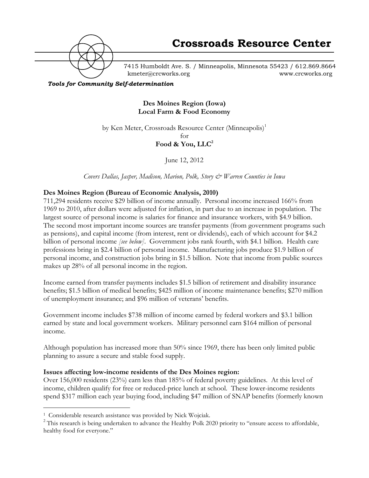

7415 Humboldt Ave. S. / Minneapolis, Minnesota 55423 / 612.869.8664 kmeter@crcworks.org www.crcworks.org

*Tools for Community Self-determination*

**Des Moines Region (Iowa) Local Farm & Food Economy**

by Ken Meter, Crossroads Resource Center (Minneapolis)<sup>1</sup>

for

**Food & You, LLC2**

June 12, 2012

*Covers Dallas, Jasper, Madison, Marion, Polk, Story & Warren Counties in Iowa*

## **Des Moines Region (Bureau of Economic Analysis, 2010)**

711,294 residents receive \$29 billion of income annually. Personal income increased 166% from 1969 to 2010, after dollars were adjusted for inflation, in part due to an increase in population. The largest source of personal income is salaries for finance and insurance workers, with \$4.9 billion. The second most important income sources are transfer payments (from government programs such as pensions), and capital income (from interest, rent or dividends), each of which account for \$4.2 billion of personal income *[see below]*. Government jobs rank fourth, with \$4.1 billion. Health care professions bring in \$2.4 billion of personal income. Manufacturing jobs produce \$1.9 billion of personal income, and construction jobs bring in \$1.5 billion. Note that income from public sources makes up 28% of all personal income in the region.

Income earned from transfer payments includes \$1.5 billion of retirement and disability insurance benefits; \$1.5 billion of medical benefits; \$425 million of income maintenance benefits; \$270 million of unemployment insurance; and \$96 million of veterans' benefits.

Government income includes \$738 million of income earned by federal workers and \$3.1 billion earned by state and local government workers. Military personnel earn \$164 million of personal income.

Although population has increased more than 50% since 1969, there has been only limited public planning to assure a secure and stable food supply.

### **Issues affecting low-income residents of the Des Moines region:**

Over 156,000 residents (23%) earn less than 185% of federal poverty guidelines. At this level of income, children qualify for free or reduced-price lunch at school. These lower-income residents spend \$317 million each year buying food, including \$47 million of SNAP benefits (formerly known

 <sup>1</sup> Considerable research assistance was provided by Nick Wojciak.

<sup>&</sup>lt;sup>2</sup> This research is being undertaken to advance the Healthy Polk 2020 priority to "ensure access to affordable, healthy food for everyone."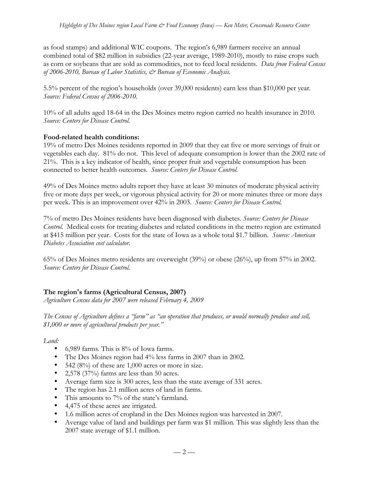as food stamps) and additional WIC coupons. The region's 6,989 farmers receive an annual combined total of \$82 million in subsidies (22-year average, 1989-2010), mostly to raise crops such as corn or soybeans that are sold as commodities, not to feed local residents. *Data from Federal Census of 2006-2010, Bureau of Labor Statistics, & Bureau of Economic Analysis.*

5.5% percent of the region's households (over 39,000 residents) earn less than \$10,000 per year. *Source: Federal Census of 2006-2010.*

10% of all adults aged 18-64 in the Des Moines metro region carried no health insurance in 2010. *Source: Centers for Disease Control.*

## **Food-related health conditions:**

19% of metro Des Moines residents reported in 2009 that they eat five or more servings of fruit or vegetables each day. 81% do not. This level of adequate consumption is lower than the 2002 rate of 21%. This is a key indicator of health, since proper fruit and vegetable consumption has been connected to better health outcomes. *Source: Centers for Disease Control.*

49% of Des Moines metro adults report they have at least 30 minutes of moderate physical activity five or more days per week, or vigorous physical activity for 20 or more minutes three or more days per week. This is an improvement over 42% in 2003. *Source: Centers for Disease Control.*

7% of metro Des Moines residents have been diagnosed with diabetes. *Source: Centers for Disease Control.* Medical costs for treating diabetes and related conditions in the metro region are estimated at \$415 million per year. Costs for the state of Iowa as a whole total \$1.7 billion. *Source: American Diabetes Association cost calculator.*

65% of Des Moines metro residents are overweight (39%) or obese (26%), up from 57% in 2002. *Source: Centers for Disease Control.*

## **The region's farms (Agricultural Census, 2007)**

*Agriculture Census data for 2007 were released February 4, 2009*

*The Census of Agriculture defines a "farm" as "an operation that produces, or would normally produce and sell, \$1,000 or more of agricultural products per year."*

*Land:*

- 6,989 farms. This is 8% of Iowa farms.
- The Des Moines region had 4% less farms in 2007 than in 2002.
- 542 (8%) of these are  $1,000$  acres or more in size.
- 2,578 (37%) farms are less than 50 acres.
- Average farm size is 300 acres, less than the state average of 331 acres.
- The region has 2.1 million acres of land in farms.
- This amounts to 7% of the state's farmland.
- 4,475 of these acres are irrigated.
- 1.6 million acres of cropland in the Des Moines region was harvested in 2007.
- Average value of land and buildings per farm was \$1 million. This was slightly less than the 2007 state average of \$1.1 million.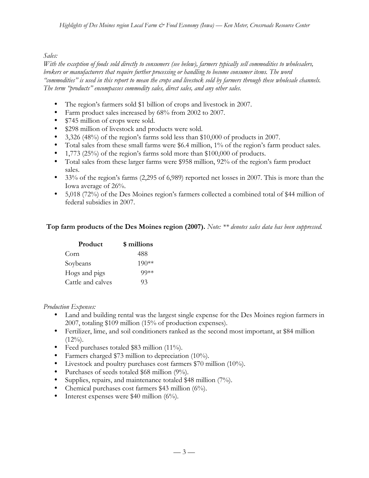### *Sales:*

*With the exception of foods sold directly to consumers (see below), farmers typically sell commodities to wholesalers, brokers or manufacturers that require further processing or handling to become consumer items. The word "commodities" is used in this report to mean the crops and livestock sold by farmers through these wholesale channels. The term "products" encompasses commodity sales, direct sales, and any other sales.*

- The region's farmers sold \$1 billion of crops and livestock in 2007.
- Farm product sales increased by 68% from 2002 to 2007.
- \$745 million of crops were sold.
- \$298 million of livestock and products were sold.
- 3,326 (48%) of the region's farms sold less than \$10,000 of products in 2007.
- Total sales from these small farms were \$6.4 million, 1% of the region's farm product sales.
- 1,773 (25%) of the region's farms sold more than \$100,000 of products.
- Total sales from these larger farms were \$958 million, 92% of the region's farm product sales.
- 33% of the region's farms (2,295 of 6,989) reported net losses in 2007. This is more than the Iowa average of 26%.
- 5,018 (72%) of the Des Moines region's farmers collected a combined total of \$44 million of federal subsidies in 2007.

### **Top farm products of the Des Moines region (2007).** *Note: \*\* denotes sales data has been suppressed.*

| Product           | \$ millions |
|-------------------|-------------|
| Corn              | 488         |
| Soybeans          | $190**$     |
| Hogs and pigs     | $99**$      |
| Cattle and calves | 93          |

#### *Production Expenses:*

- Land and building rental was the largest single expense for the Des Moines region farmers in 2007, totaling \$109 million (15% of production expenses).
- Fertilizer, lime, and soil conditioners ranked as the second most important, at \$84 million  $(12\%)$ .
- Feed purchases totaled \$83 million (11%).
- Farmers charged \$73 million to depreciation (10%).
- Livestock and poultry purchases cost farmers \$70 million (10%).
- Purchases of seeds totaled \$68 million (9%).
- Supplies, repairs, and maintenance totaled \$48 million (7%).
- Chemical purchases cost farmers \$43 million (6%).
- Interest expenses were \$40 million  $(6\%)$ .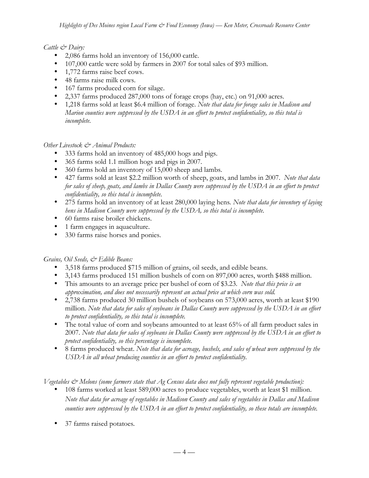## *Cattle & Dairy:*

- 2,086 farms hold an inventory of 156,000 cattle.
- 107,000 cattle were sold by farmers in 2007 for total sales of \$93 million.
- 1,772 farms raise beef cows.
- 48 farms raise milk cows.
- 167 farms produced corn for silage.
- 2,337 farms produced 287,000 tons of forage crops (hay, etc.) on 91,000 acres.
- 1,218 farms sold at least \$6.4 million of forage. *Note that data for forage sales in Madison and Marion counties were suppressed by the USDA in an effort to protect confidentiality, so this total is incomplete.*

## *Other Livestock & Animal Products:*

- 333 farms hold an inventory of 485,000 hogs and pigs.
- 365 farms sold 1.1 million hogs and pigs in 2007.
- 360 farms hold an inventory of 15,000 sheep and lambs.
- 427 farms sold at least \$2.2 million worth of sheep, goats, and lambs in 2007. *Note that data for sales of sheep, goats, and lambs in Dallas County were suppressed by the USDA in an effort to protect confidentiality, so this total is incomplete.*
- 275 farms hold an inventory of at least 280,000 laying hens*. Note that data for inventory of laying hens in Madison County were suppressed by the USDA, so this total is incomplete.*
- 60 farms raise broiler chickens.
- 1 farm engages in aquaculture.
- 330 farms raise horses and ponies.

## *Grains, Oil Seeds, & Edible Beans:*

- 3,518 farms produced \$715 million of grains, oil seeds, and edible beans.
- 3,143 farms produced 151 million bushels of corn on 897,000 acres, worth \$488 million.
- This amounts to an average price per bushel of corn of \$3.23. *Note that this price is an approximation, and does not necessarily represent an actual price at which corn was sold.*
- 2,738 farms produced 30 million bushels of soybeans on 573,000 acres, worth at least \$190 million. *Note that data for sales of soybeans in Dallas County were suppressed by the USDA in an effort to protect confidentiality, so this total is incomplete.*
- The total value of corn and soybeans amounted to at least 65% of all farm product sales in 2007. *Note that data for sales of soybeans in Dallas County were suppressed by the USDA in an effort to protect confidentiality, so this percentage is incomplete.*
- 8 farms produced wheat. *Note that data for acreage, bushels, and sales of wheat were suppressed by the USDA in all wheat producing counties in an effort to protect confidentiality.*

*Vegetables & Melons (some farmers state that Ag Census data does not fully represent vegetable production):*

- 108 farms worked at least 589,000 acres to produce vegetables, worth at least \$1 million. *Note that data for acreage of vegetables in Madison County and sales of vegetables in Dallas and Madison counties were suppressed by the USDA in an effort to protect confidentiality, so these totals are incomplete.*
- 37 farms raised potatoes*.*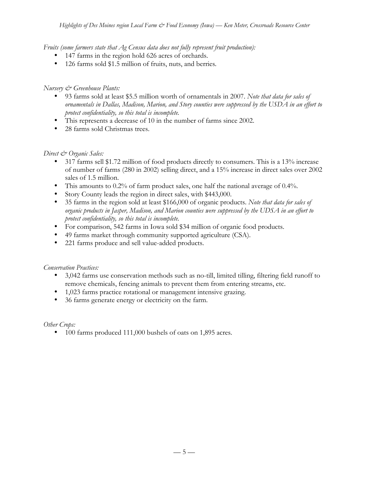*Fruits (some farmers state that Ag Census data does not fully represent fruit production):*

- 147 farms in the region hold 626 acres of orchards.
- 126 farms sold \$1.5 million of fruits, nuts, and berries*.*

## *Nursery & Greenhouse Plants:*

- 93 farms sold at least \$5.5 million worth of ornamentals in 2007. *Note that data for sales of ornamentals in Dallas, Madison, Marion, and Story counties were suppressed by the USDA in an effort to protect confidentiality, so this total is incomplete.*
- This represents a decrease of 10 in the number of farms since 2002.
- 28 farms sold Christmas trees.

## *Direct & Organic Sales:*

- 317 farms sell \$1.72 million of food products directly to consumers. This is a 13% increase of number of farms (280 in 2002) selling direct, and a 15% increase in direct sales over 2002 sales of 1.5 million.
- This amounts to 0.2% of farm product sales, one half the national average of 0.4%.
- Story County leads the region in direct sales, with \$443,000.
- 35 farms in the region sold at least \$166,000 of organic products. *Note that data for sales of organic products in Jasper, Madison, and Marion counties were suppressed by the UDSA in an effort to protect confidentiality, so this total is incomplete.*
- For comparison, 542 farms in Iowa sold \$34 million of organic food products.
- 49 farms market through community supported agriculture (CSA).
- 221 farms produce and sell value-added products.

### *Conservation Practices:*

- 3,042 farms use conservation methods such as no-till, limited tilling, filtering field runoff to remove chemicals, fencing animals to prevent them from entering streams, etc.
- 1,023 farms practice rotational or management intensive grazing.
- 36 farms generate energy or electricity on the farm.

*Other Crops:*

• 100 farms produced 111,000 bushels of oats on 1,895 acres.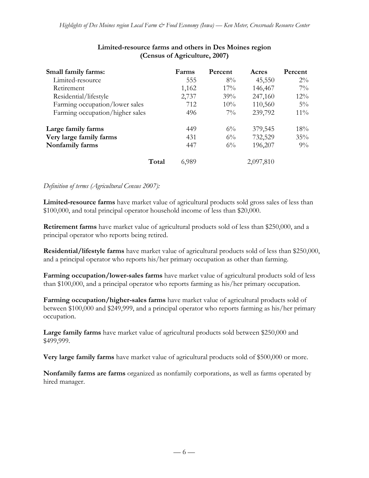| Small family farms:             | Farms          | Percent | Acres     | Percent |
|---------------------------------|----------------|---------|-----------|---------|
| Limited-resource                | 555            | $8\%$   | 45,550    | $2\%$   |
| Retirement                      | 1,162          | 17%     | 146,467   | $7\%$   |
| Residential/lifestyle           | 2,737          | 39%     | 247,160   | $12\%$  |
| Farming occupation/lower sales  | 712            | 10%     | 110,560   | $5\%$   |
| Farming occupation/higher sales | 496            | $7\%$   | 239,792   | $11\%$  |
| Large family farms              | 449            | $6\%$   | 379,545   | 18%     |
| Very large family farms         | 431            | $6\%$   | 732,529   | 35%     |
| Nonfamily farms                 | 447            | $6\%$   | 196,207   | $9\%$   |
|                                 | Total<br>6,989 |         | 2,097,810 |         |

### **Limited-resource farms and others in Des Moines region (Census of Agriculture, 2007)**

### *Definition of terms (Agricultural Census 2007):*

**Limited-resource farms** have market value of agricultural products sold gross sales of less than \$100,000, and total principal operator household income of less than \$20,000.

**Retirement farms** have market value of agricultural products sold of less than \$250,000, and a principal operator who reports being retired.

**Residential/lifestyle farms** have market value of agricultural products sold of less than \$250,000, and a principal operator who reports his/her primary occupation as other than farming.

**Farming occupation/lower-sales farms** have market value of agricultural products sold of less than \$100,000, and a principal operator who reports farming as his/her primary occupation.

**Farming occupation/higher-sales farms** have market value of agricultural products sold of between \$100,000 and \$249,999, and a principal operator who reports farming as his/her primary occupation.

**Large family farms** have market value of agricultural products sold between \$250,000 and \$499,999.

**Very large family farms** have market value of agricultural products sold of \$500,000 or more.

**Nonfamily farms are farms** organized as nonfamily corporations, as well as farms operated by hired manager.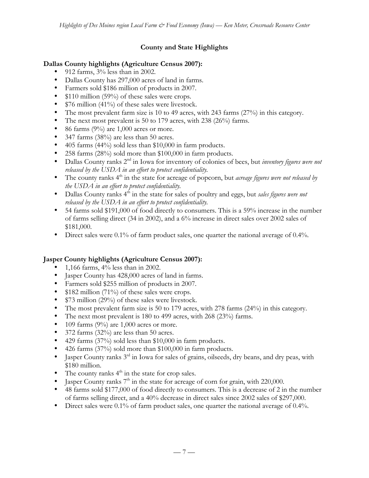# **County and State Highlights**

## **Dallas County highlights (Agriculture Census 2007):**

- 912 farms,  $3\%$  less than in 2002.
- Dallas County has 297,000 acres of land in farms.
- Farmers sold \$186 million of products in 2007.
- \$110 million (59%) of these sales were crops.
- \$76 million (41%) of these sales were livestock.
- The most prevalent farm size is 10 to 49 acres, with 243 farms (27%) in this category.
- The next most prevalent is 50 to 179 acres, with 238 (26%) farms.
- 86 farms  $(9\%)$  are 1,000 acres or more.
- 347 farms (38%) are less than 50 acres.
- 405 farms (44%) sold less than \$10,000 in farm products.
- 258 farms (28%) sold more than \$100,000 in farm products.
- Dallas County ranks 2<sup>nd</sup> in Iowa for inventory of colonies of bees, but *inventory figures were not released by the USDA in an effort to protect confidentiality.*
- The county ranks 4<sup>th</sup> in the state for acreage of popcorn, but *acreage figures were not released by the USDA in an effort to protect confidentiality.*
- Dallas County ranks 4<sup>th</sup> in the state for sales of poultry and eggs, but *sales figures were not released by the USDA in an effort to protect confidentiality.*
- 54 farms sold \$191,000 of food directly to consumers. This is a 59% increase in the number of farms selling direct (34 in 2002), and a 6% increase in direct sales over 2002 sales of \$181,000.
- Direct sales were 0.1% of farm product sales, one quarter the national average of 0.4%.

# **Jasper County highlights (Agriculture Census 2007):**

- 1,166 farms,  $4\%$  less than in 2002.
- Jasper County has 428,000 acres of land in farms.
- Farmers sold \$255 million of products in 2007.
- \$182 million (71%) of these sales were crops.
- \$73 million (29%) of these sales were livestock.
- The most prevalent farm size is 50 to 179 acres, with 278 farms (24%) in this category.
- The next most prevalent is 180 to 499 acres, with 268 (23%) farms.
- 109 farms (9%) are  $1,000$  acres or more.
- 372 farms  $(32\%)$  are less than 50 acres.
- 429 farms (37%) sold less than \$10,000 in farm products.
- 426 farms (37%) sold more than \$100,000 in farm products.
- Jasper County ranks  $3<sup>rd</sup>$  in Iowa for sales of grains, oilseeds, dry beans, and dry peas, with \$180 million.
- The county ranks  $4<sup>th</sup>$  in the state for crop sales.
- Jasper County ranks  $7<sup>th</sup>$  in the state for acreage of corn for grain, with 220,000.
- 48 farms sold \$177,000 of food directly to consumers. This is a decrease of 2 in the number of farms selling direct, and a 40% decrease in direct sales since 2002 sales of \$297,000.
- Direct sales were 0.1% of farm product sales, one quarter the national average of 0.4%.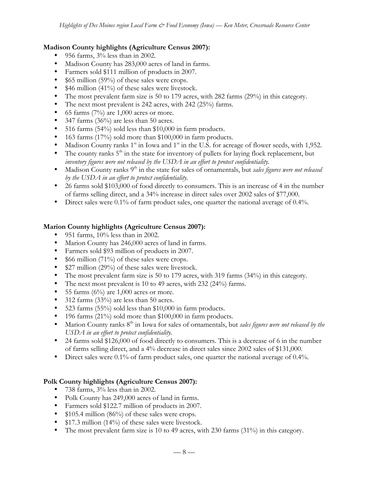## **Madison County highlights (Agriculture Census 2007):**

- 956 farms, 3% less than in 2002.
- Madison County has 283,000 acres of land in farms.
- Farmers sold \$111 million of products in 2007.
- \$65 million (59%) of these sales were crops.
- \$46 million (41%) of these sales were livestock.
- The most prevalent farm size is 50 to 179 acres, with 282 farms (29%) in this category.
- The next most prevalent is 242 acres, with 242 (25%) farms.
- 65 farms  $(7%)$  are 1,000 acres or more.
- 347 farms (36%) are less than 50 acres.
- 516 farms (54%) sold less than \$10,000 in farm products.
- 163 farms (17%) sold more than \$100,000 in farm products.
- Madison County ranks  $1<sup>st</sup>$  in Iowa and  $1<sup>st</sup>$  in the U.S. for acreage of flower seeds, with 1,952.
- The county ranks  $5<sup>th</sup>$  in the state for inventory of pullets for laying flock replacement, but *inventory figures were not released by the USDA in an effort to protect confidentiality.*
- Madison County ranks 9<sup>th</sup> in the state for sales of ornamentals, but *sales figures were not released by the USDA in an effort to protect confidentiality.*
- 26 farms sold \$103,000 of food directly to consumers. This is an increase of 4 in the number of farms selling direct, and a 34% increase in direct sales over 2002 sales of \$77,000.
- Direct sales were 0.1% of farm product sales, one quarter the national average of 0.4%.

## **Marion County highlights (Agriculture Census 2007):**

- 951 farms,  $10\%$  less than in 2002.
- Marion County has 246,000 acres of land in farms.
- Farmers sold \$93 million of products in 2007.
- \$66 million (71%) of these sales were crops.
- \$27 million (29%) of these sales were livestock.
- The most prevalent farm size is 50 to 179 acres, with 319 farms (34%) in this category.
- The next most prevalent is 10 to 49 acres, with 232 (24%) farms.
- 55 farms  $(6\%)$  are 1,000 acres or more.
- 312 farms (33%) are less than 50 acres.
- 523 farms (55%) sold less than \$10,000 in farm products.
- 196 farms (21%) sold more than \$100,000 in farm products.
- Marion County ranks 8<sup>th</sup> in Iowa for sales of ornamentals, but *sales figures were not released by the USDA in an effort to protect confidentiality.*
- 24 farms sold \$126,000 of food directly to consumers. This is a decrease of 6 in the number of farms selling direct, and a 4% decrease in direct sales since 2002 sales of \$131,000.
- Direct sales were 0.1% of farm product sales, one quarter the national average of 0.4%.

## **Polk County highlights (Agriculture Census 2007):**

- 738 farms,  $3\%$  less than in 2002.
- Polk County has 249,000 acres of land in farms.
- Farmers sold \$122.7 million of products in 2007.
- \$105.4 million (86%) of these sales were crops.
- \$17.3 million (14%) of these sales were livestock.
- The most prevalent farm size is 10 to 49 acres, with 230 farms  $(31\%)$  in this category.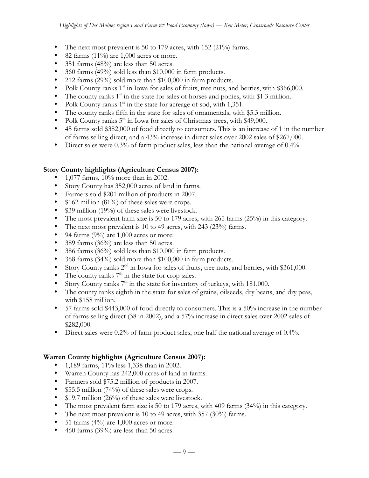- The next most prevalent is 50 to 179 acres, with 152 (21%) farms.
- 82 farms  $(11\%)$  are 1,000 acres or more.
- 351 farms (48%) are less than 50 acres.
- 360 farms (49%) sold less than \$10,000 in farm products.
- 212 farms (29%) sold more than \$100,000 in farm products.
- Polk County ranks  $1<sup>st</sup>$  in Iowa for sales of fruits, tree nuts, and berries, with \$366,000.
- The county ranks  $1<sup>st</sup>$  in the state for sales of horses and ponies, with \$1.3 million.
- Polk County ranks  $1<sup>st</sup>$  in the state for acreage of sod, with 1,351.
- The county ranks fifth in the state for sales of ornamentals, with \$5.3 million.
- Polk County ranks  $5<sup>th</sup>$  in Iowa for sales of Christmas trees, with \$49,000.
- 45 farms sold \$382,000 of food directly to consumers. This is an increase of 1 in the number of farms selling direct, and a 43% increase in direct sales over 2002 sales of \$267,000.
- Direct sales were 0.3% of farm product sales, less than the national average of 0.4%.

### **Story County highlights (Agriculture Census 2007):**

- 1,077 farms, 10% more than in 2002.
- Story County has 352,000 acres of land in farms.
- Farmers sold \$201 million of products in 2007.
- \$162 million (81%) of these sales were crops.
- \$39 million (19%) of these sales were livestock.
- The most prevalent farm size is 50 to 179 acres, with 265 farms (25%) in this category.
- The next most prevalent is 10 to 49 acres, with 243 (23%) farms.
- 94 farms  $(9\%)$  are 1,000 acres or more.
- 389 farms (36%) are less than 50 acres.
- 386 farms (36%) sold less than \$10,000 in farm products.
- 368 farms (34%) sold more than \$100,000 in farm products.
- Story County ranks  $2<sup>nd</sup>$  in Iowa for sales of fruits, tree nuts, and berries, with \$361,000.
- The county ranks  $7<sup>th</sup>$  in the state for crop sales.
- Story County ranks  $7<sup>th</sup>$  in the state for inventory of turkeys, with 181,000.
- The county ranks eighth in the state for sales of grains, oilseeds, dry beans, and dry peas, with \$158 million.
- 57 farms sold \$443,000 of food directly to consumers. This is a 50% increase in the number of farms selling direct (38 in 2002), and a 57% increase in direct sales over 2002 sales of \$282,000.
- Direct sales were 0.2% of farm product sales, one half the national average of 0.4%.

### **Warren County highlights (Agriculture Census 2007):**

- 1,189 farms, 11% less 1,338 than in 2002.
- Warren County has 242,000 acres of land in farms.
- Farmers sold \$75.2 million of products in 2007.
- \$55.5 million (74%) of these sales were crops.
- \$19.7 million (26%) of these sales were livestock.
- The most prevalent farm size is 50 to 179 acres, with 409 farms (34%) in this category.
- The next most prevalent is 10 to 49 acres, with 357 (30%) farms.
- 51 farms  $(4\%)$  are 1,000 acres or more.
- 460 farms (39%) are less than 50 acres.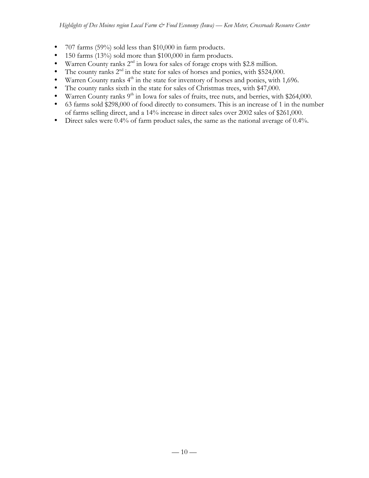- 707 farms (59%) sold less than \$10,000 in farm products.
- 150 farms (13%) sold more than \$100,000 in farm products.
- Warren County ranks  $2^{nd}$  in Iowa for sales of forage crops with \$2.8 million.<br>• The county ranks  $2^{nd}$  in the state for sales of horses and ponies with \$524.00
- The county ranks  $2^{nd}$  in the state for sales of horses and ponies, with \$524,000.<br>• Warren County ranks  $4^{th}$  in the state for inventory of horses and ponies, with 1
- Warren County ranks  $4<sup>th</sup>$  in the state for inventory of horses and ponies, with 1,696.
- The county ranks sixth in the state for sales of Christmas trees, with \$47,000.
- Warren County ranks  $9<sup>th</sup>$  in Iowa for sales of fruits, tree nuts, and berries, with \$264,000.
- 63 farms sold \$298,000 of food directly to consumers. This is an increase of 1 in the number of farms selling direct, and a 14% increase in direct sales over 2002 sales of \$261,000.
- Direct sales were 0.4% of farm product sales, the same as the national average of 0.4%.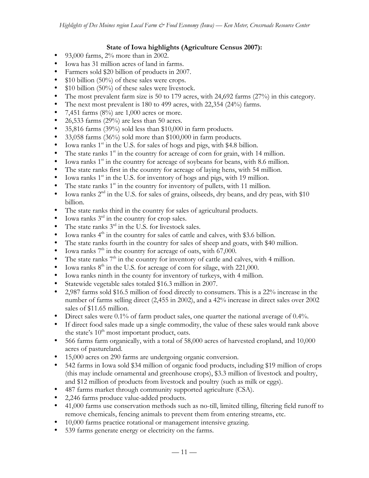## **State of Iowa highlights (Agriculture Census 2007):**

- 93,000 farms,  $2\%$  more than in 2002.
- Iowa has 31 million acres of land in farms.
- Farmers sold \$20 billion of products in 2007.
- $$10$  billion (50%) of these sales were crops.
- \$10 billion (50%) of these sales were livestock.
- The most prevalent farm size is 50 to 179 acres, with 24,692 farms (27%) in this category.
- The next most prevalent is 180 to 499 acres, with 22,354 (24%) farms.
- 7,451 farms  $(8\%)$  are 1,000 acres or more.
- 26,533 farms (29%) are less than 50 acres.
- 35,816 farms (39%) sold less than \$10,000 in farm products.
- 33,058 farms (36%) sold more than \$100,000 in farm products.
- Iowa ranks  $1<sup>st</sup>$  in the U.S. for sales of hogs and pigs, with \$4.8 billion.
- The state ranks  $1<sup>st</sup>$  in the country for acreage of corn for grain, with 14 million.
- Iowa ranks  $1<sup>st</sup>$  in the country for acreage of soybeans for beans, with 8.6 million.
- The state ranks first in the country for acreage of laying hens, with 54 million.
- Iowa ranks  $1<sup>st</sup>$  in the U.S. for inventory of hogs and pigs, with 19 million.
- The state ranks  $1<sup>st</sup>$  in the country for inventory of pullets, with 11 million.
- Iowa ranks  $2<sup>nd</sup>$  in the U.S. for sales of grains, oilseeds, dry beans, and dry peas, with \$10 billion.
- The state ranks third in the country for sales of agricultural products.
- Iowa ranks  $3<sup>rd</sup>$  in the country for crop sales.
- The state ranks  $3<sup>rd</sup>$  in the U.S. for livestock sales.
- Iowa ranks  $4<sup>th</sup>$  in the country for sales of cattle and calves, with \$3.6 billion.
- The state ranks fourth in the country for sales of sheep and goats, with \$40 million.
- Iowa ranks  $7<sup>th</sup>$  in the country for acreage of oats, with 67,000.
- The state ranks  $7<sup>th</sup>$  in the country for inventory of cattle and calves, with 4 million.
- Iowa ranks  $8<sup>th</sup>$  in the U.S. for acreage of corn for silage, with 221,000.
- Iowa ranks ninth in the county for inventory of turkeys, with 4 million.
- Statewide vegetable sales totaled \$16.3 million in 2007.
- 2,987 farms sold \$16.5 million of food directly to consumers. This is a 22% increase in the number of farms selling direct (2,455 in 2002), and a 42% increase in direct sales over 2002 sales of \$11.65 million.
- Direct sales were 0.1% of farm product sales, one quarter the national average of 0.4%.
- If direct food sales made up a single commodity, the value of these sales would rank above the state's  $10^{th}$  most important product, oats.
- 566 farms farm organically, with a total of 58,000 acres of harvested cropland, and 10,000 acres of pastureland.
- 15,000 acres on 290 farms are undergoing organic conversion.
- 542 farms in Iowa sold \$34 million of organic food products, including \$19 million of crops (this may include ornamental and greenhouse crops), \$3.3 million of livestock and poultry, and \$12 million of products from livestock and poultry (such as milk or eggs).
- 487 farms market through community supported agriculture (CSA).
- 2,246 farms produce value-added products.
- 41,000 farms use conservation methods such as no-till, limited tilling, filtering field runoff to remove chemicals, fencing animals to prevent them from entering streams, etc.
- 10,000 farms practice rotational or management intensive grazing.
- 539 farms generate energy or electricity on the farms.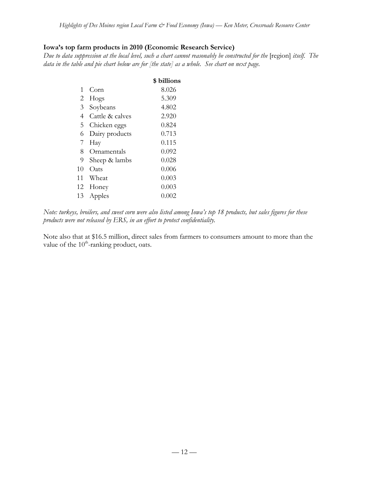# **Iowa's top farm products in 2010 (Economic Research Service)**

*Due to data suppression at the local level, such a chart cannot reasonably be constructed for the* [region] *itself.* The *data in the table and pie chart below are for [the state] as a whole. See chart on next page.*

|    |                 | \$ billions |
|----|-----------------|-------------|
| 1  | Corn            | 8.026       |
| 2  | Hogs            | 5.309       |
| 3  | Soybeans        | 4.802       |
| 4  | Cattle & calves | 2.920       |
| 5  | Chicken eggs    | 0.824       |
| 6  | Dairy products  | 0.713       |
| 7  | Hay             | 0.115       |
| 8  | Ornamentals     | 0.092       |
| 9  | Sheep & lambs   | 0.028       |
| 10 | Oats            | 0.006       |
| 11 | Wheat           | 0.003       |
| 12 | Honey           | 0.003       |
| 13 | Apples          | 0.002       |

*Note: turkeys, broilers, and sweet corn were also listed among Iowa's top 18 products, but sales figures for these products were not released by ERS, in an effort to protect confidentiality.*

Note also that at \$16.5 million, direct sales from farmers to consumers amount to more than the value of the  $10^{th}$ -ranking product, oats.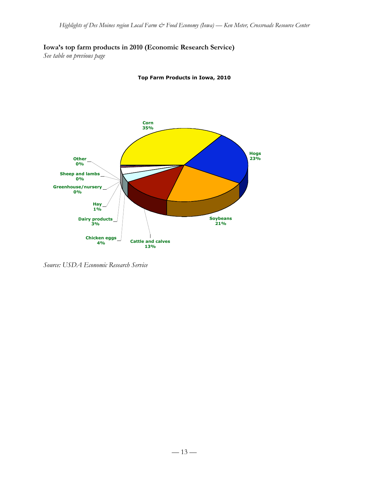# **Iowa's top farm products in 2010 (Economic Research Service)**

*See table on previous page*

**Top Farm Products in Iowa, 2010**



*Source: USDA Economic Research Service*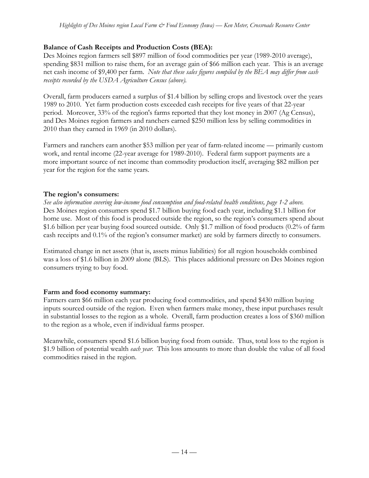# **Balance of Cash Receipts and Production Costs (BEA):**

Des Moines region farmers sell \$897 million of food commodities per year (1989-2010 average), spending \$831 million to raise them, for an average gain of \$66 million each year. This is an average net cash income of \$9,400 per farm. *Note that these sales figures compiled by the BEA may differ from cash receipts recorded by the USDA Agriculture Census (above).*

Overall, farm producers earned a surplus of \$1.4 billion by selling crops and livestock over the years 1989 to 2010. Yet farm production costs exceeded cash receipts for five years of that 22-year period. Moreover, 33% of the region's farms reported that they lost money in 2007 (Ag Census), and Des Moines region farmers and ranchers earned \$250 million less by selling commodities in 2010 than they earned in 1969 (in 2010 dollars).

Farmers and ranchers earn another \$53 million per year of farm-related income — primarily custom work, and rental income (22-year average for 1989-2010). Federal farm support payments are a more important source of net income than commodity production itself, averaging \$82 million per year for the region for the same years.

## **The region's consumers:**

*See also information covering low-income food consumption and food-related health conditions, page 1-2 above.* Des Moines region consumers spend \$1.7 billion buying food each year, including \$1.1 billion for home use. Most of this food is produced outside the region, so the region's consumers spend about \$1.6 billion per year buying food sourced outside. Only \$1.7 million of food products (0.2% of farm cash receipts and 0.1% of the region's consumer market) are sold by farmers directly to consumers.

Estimated change in net assets (that is, assets minus liabilities) for all region households combined was a loss of \$1.6 billion in 2009 alone (BLS). This places additional pressure on Des Moines region consumers trying to buy food.

## **Farm and food economy summary:**

Farmers earn \$66 million each year producing food commodities, and spend \$430 million buying inputs sourced outside of the region. Even when farmers make money, these input purchases result in substantial losses to the region as a whole. Overall, farm production creates a loss of \$360 million to the region as a whole, even if individual farms prosper.

Meanwhile, consumers spend \$1.6 billion buying food from outside. Thus, total loss to the region is \$1.9 billion of potential wealth *each year*. This loss amounts to more than double the value of all food commodities raised in the region.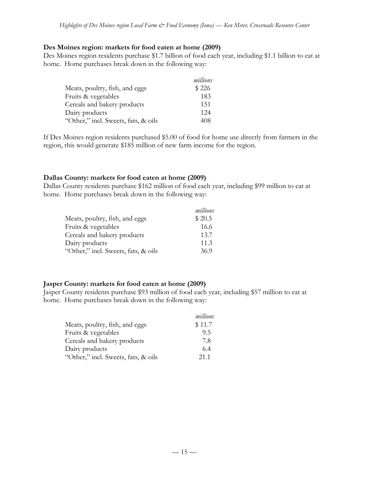#### **Des Moines region: markets for food eaten at home (2009)**

Des Moines region residents purchase \$1.7 billion of food each year, including \$1.1 billion to eat at home. Home purchases break down in the following way:

|                                     | millions |
|-------------------------------------|----------|
| Meats, poultry, fish, and eggs      | \$226    |
| Fruits & vegetables                 | 183      |
| Cereals and bakery products         | 151      |
| Dairy products                      | 124      |
| "Other," incl. Sweets, fats, & oils | 408      |

If Des Moines region residents purchased \$5.00 of food for home use directly from farmers in the region, this would generate \$185 million of new farm income for the region.

### **Dallas County: markets for food eaten at home (2009)**

Dallas County residents purchase \$162 million of food each year, including \$99 million to eat at home. Home purchases break down in the following way:

|                                     | millions |
|-------------------------------------|----------|
| Meats, poultry, fish, and eggs      | \$20.5   |
| Fruits & vegetables                 | 16.6     |
| Cereals and bakery products         | 13.7     |
| Dairy products                      | 11.3     |
| "Other," incl. Sweets, fats, & oils | 36.9     |

### **Jasper County: markets for food eaten at home (2009)**

Jasper County residents purchase \$93 million of food each year, including \$57 million to eat at home. Home purchases break down in the following way:

|                                     | millions |
|-------------------------------------|----------|
| Meats, poultry, fish, and eggs      | \$11.7   |
| Fruits & vegetables                 | 9.5      |
| Cereals and bakery products         | 7.8      |
| Dairy products                      | 6.4      |
| "Other," incl. Sweets, fats, & oils | 21.1     |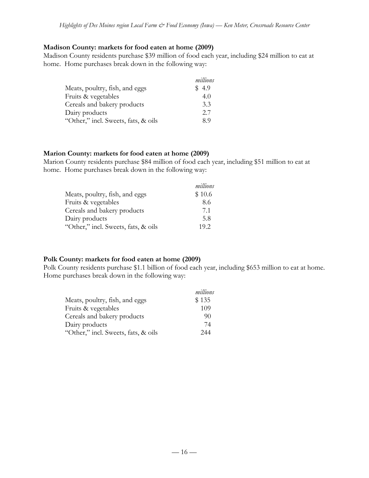#### **Madison County: markets for food eaten at home (2009)**

Madison County residents purchase \$39 million of food each year, including \$24 million to eat at home. Home purchases break down in the following way:

|                                     | millions |
|-------------------------------------|----------|
| Meats, poultry, fish, and eggs      | \$4.9    |
| Fruits & vegetables                 | 4.0      |
| Cereals and bakery products         | 3.3      |
| Dairy products                      | 2.7      |
| "Other," incl. Sweets, fats, & oils | 89       |

#### **Marion County: markets for food eaten at home (2009)**

Marion County residents purchase \$84 million of food each year, including \$51 million to eat at home. Home purchases break down in the following way:

|                                     | millions |
|-------------------------------------|----------|
| Meats, poultry, fish, and eggs      | \$10.6   |
| Fruits & vegetables                 | 8.6      |
| Cereals and bakery products         | 7.1      |
| Dairy products                      | 5.8      |
| "Other," incl. Sweets, fats, & oils | 19.2     |

### **Polk County: markets for food eaten at home (2009)**

Polk County residents purchase \$1.1 billion of food each year, including \$653 million to eat at home. Home purchases break down in the following way:

|                                     | millions |
|-------------------------------------|----------|
| Meats, poultry, fish, and eggs      | \$135    |
| Fruits & vegetables                 | 109      |
| Cereals and bakery products         | 90       |
| Dairy products                      | 74       |
| "Other," incl. Sweets, fats, & oils | 244      |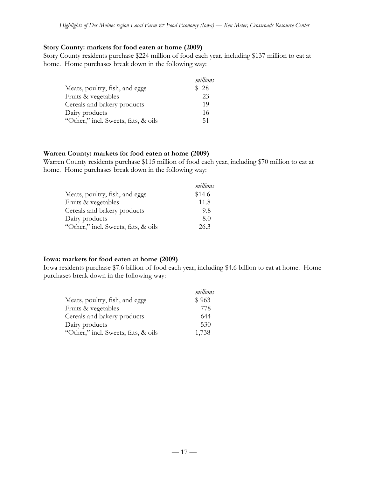#### **Story County: markets for food eaten at home (2009)**

Story County residents purchase \$224 million of food each year, including \$137 million to eat at home. Home purchases break down in the following way:

|                                     | millions |
|-------------------------------------|----------|
| Meats, poultry, fish, and eggs      | \$28     |
| Fruits & vegetables                 | 23       |
| Cereals and bakery products         | 19       |
| Dairy products                      | 16       |
| "Other," incl. Sweets, fats, & oils | 51       |

#### **Warren County: markets for food eaten at home (2009)**

Warren County residents purchase \$115 million of food each year, including \$70 million to eat at home. Home purchases break down in the following way:

|                                     | millions |
|-------------------------------------|----------|
| Meats, poultry, fish, and eggs      | \$14.6   |
| Fruits & vegetables                 | 11.8     |
| Cereals and bakery products         | 9.8      |
| Dairy products                      | 8.0      |
| "Other," incl. Sweets, fats, & oils | 26.3     |

### **Iowa: markets for food eaten at home (2009)**

Iowa residents purchase \$7.6 billion of food each year, including \$4.6 billion to eat at home. Home purchases break down in the following way:

|                                     | millions |
|-------------------------------------|----------|
| Meats, poultry, fish, and eggs      | \$963    |
| Fruits & vegetables                 | 778      |
| Cereals and bakery products         | 644      |
| Dairy products                      | 530      |
| "Other," incl. Sweets, fats, & oils | 1,738    |